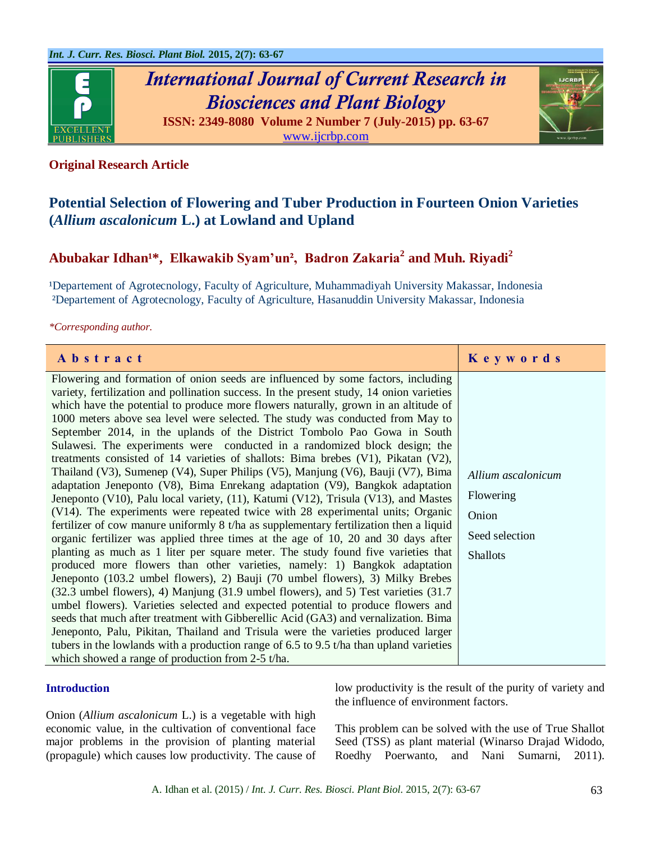

# *International Journal of Current Research in Biosciences and Plant Biology*





# **Original Research Article**

# **Potential Selection of Flowering and Tuber Production in Fourteen Onion Varieties (***Allium ascalonicum* **L.) at Lowland and Upland**

# Abubakar Idhan<sup>1\*</sup>, Elkawakib Syam'un<sup>2</sup>, Badron Zakaria<sup>2</sup> and Muh. Riyadi<sup>2</sup>

<sup>1</sup>Departement of Agrotecnology, Faculty of Agriculture, Muhammadiyah University Makassar, Indonesia ²Departement of Agrotecnology, Faculty of Agriculture, Hasanuddin University Makassar, Indonesia

#### *\*Corresponding author.*

| Abstract                                                                                                                                                                                                                                                                                                                                                                                                                                                                                                                                                                                                                                                                                                                                                                                                                                                                                                                                                                                                                                                                                                                                                                                                                                                                                                                                                                                                                                                                                                                                                                                                                                                                                                                                                                                                                                                                                             | Keywords                                                                      |
|------------------------------------------------------------------------------------------------------------------------------------------------------------------------------------------------------------------------------------------------------------------------------------------------------------------------------------------------------------------------------------------------------------------------------------------------------------------------------------------------------------------------------------------------------------------------------------------------------------------------------------------------------------------------------------------------------------------------------------------------------------------------------------------------------------------------------------------------------------------------------------------------------------------------------------------------------------------------------------------------------------------------------------------------------------------------------------------------------------------------------------------------------------------------------------------------------------------------------------------------------------------------------------------------------------------------------------------------------------------------------------------------------------------------------------------------------------------------------------------------------------------------------------------------------------------------------------------------------------------------------------------------------------------------------------------------------------------------------------------------------------------------------------------------------------------------------------------------------------------------------------------------------|-------------------------------------------------------------------------------|
| Flowering and formation of onion seeds are influenced by some factors, including<br>variety, fertilization and pollination success. In the present study, 14 onion varieties<br>which have the potential to produce more flowers naturally, grown in an altitude of<br>1000 meters above sea level were selected. The study was conducted from May to<br>September 2014, in the uplands of the District Tombolo Pao Gowa in South<br>Sulawesi. The experiments were conducted in a randomized block design; the<br>treatments consisted of 14 varieties of shallots: Bima brebes $(V1)$ , Pikatan $(V2)$ ,<br>Thailand (V3), Sumenep (V4), Super Philips (V5), Manjung (V6), Bauji (V7), Bima<br>adaptation Jeneponto (V8), Bima Enrekang adaptation (V9), Bangkok adaptation<br>Jeneponto (V10), Palu local variety, (11), Katumi (V12), Trisula (V13), and Mastes<br>(V14). The experiments were repeated twice with 28 experimental units; Organic<br>fertilizer of cow manure uniformly $8t/ha$ as supplementary fertilization then a liquid<br>organic fertilizer was applied three times at the age of 10, 20 and 30 days after<br>planting as much as 1 liter per square meter. The study found five varieties that<br>produced more flowers than other varieties, namely: 1) Bangkok adaptation<br>Jeneponto (103.2 umbel flowers), 2) Bauji (70 umbel flowers), 3) Milky Brebes<br>(32.3 umbel flowers), 4) Manjung (31.9 umbel flowers), and 5) Test varieties (31.7<br>umbel flowers). Varieties selected and expected potential to produce flowers and<br>seeds that much after treatment with Gibberellic Acid (GA3) and vernalization. Bima<br>Jeneponto, Palu, Pikitan, Thailand and Trisula were the varieties produced larger<br>tubers in the lowlands with a production range of $6.5$ to $9.5$ t/ha than upland varieties<br>which showed a range of production from $2-5$ t/ha. | Allium ascalonicum<br>Flowering<br>Onion<br>Seed selection<br><b>Shallots</b> |

#### **Introduction**

Onion (*Allium ascalonicum* L.) is a vegetable with high economic value, in the cultivation of conventional face major problems in the provision of planting material (propagule) which causes low productivity. The cause of low productivity is the result of the purity of variety and the influence of environment factors.

This problem can be solved with the use of True Shallot Seed (TSS) as plant material (Winarso Drajad Widodo, Roedhy Poerwanto, and Nani Sumarni, 2011).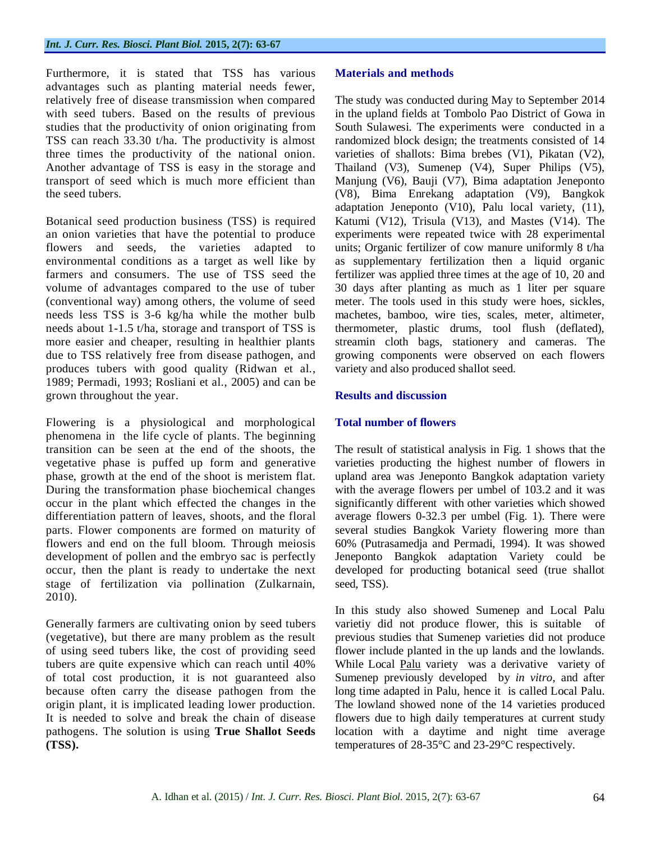Furthermore, it is stated that TSS has various advantages such as planting material needs fewer, relatively free of disease transmission when compared with seed tubers. Based on the results of previous studies that the productivity of onion originating from TSS can reach 33.30 t/ha. The productivity is almost three times the productivity of the national onion. Another advantage of TSS is easy in the storage and transport of seed which is much more efficient than the seed tubers.

Botanical seed production business (TSS) is required an onion varieties that have the potential to produce flowers and seeds, the varieties adapted to environmental conditions as a target as well like by farmers and consumers. The use of TSS seed the volume of advantages compared to the use of tuber (conventional way) among others, the volume of seed needs less TSS is 3-6 kg/ha while the mother bulb needs about 1-1.5 t/ha, storage and transport of TSS is more easier and cheaper, resulting in healthier plants due to TSS relatively free from disease pathogen, and produces tubers with good quality (Ridwan et al., 1989; Permadi, 1993; Rosliani et al., 2005) and can be grown throughout the year.

Flowering is a physiological and morphological phenomena in the life cycle of plants. The beginning transition can be seen at the end of the shoots, the vegetative phase is puffed up form and generative phase, growth at the end of the shoot is meristem flat. During the transformation phase biochemical changes occur in the plant which effected the changes in the differentiation pattern of leaves, shoots, and the floral parts. Flower components are formed on maturity of flowers and end on the full bloom. Through meiosis development of pollen and the embryo sac is perfectly occur, then the plant is ready to undertake the next stage of fertilization via pollination (Zulkarnain, 2010).

Generally farmers are cultivating onion by seed tubers (vegetative), but there are many problem as the result of using seed tubers like, the cost of providing seed tubers are quite expensive which can reach until 40% of total cost production, it is not guaranteed also because often carry the disease pathogen from the origin plant, it is implicated leading lower production. It is needed to solve and break the chain of disease pathogens. The solution is using **True Shallot Seeds (TSS).**

# **Materials and methods**

The study was conducted during May to September 2014 in the upland fields at Tombolo Pao District of Gowa in South Sulawesi. The experiments were conducted in a randomized block design; the treatments consisted of 14 varieties of shallots: Bima brebes (V1), Pikatan (V2), Thailand (V3), Sumenep (V4), Super Philips (V5), Manjung (V6), Bauji (V7), Bima adaptation Jeneponto (V8), Bima Enrekang adaptation (V9), Bangkok adaptation Jeneponto (V10), Palu local variety, (11), Katumi (V12), Trisula (V13), and Mastes (V14). The experiments were repeated twice with 28 experimental units; Organic fertilizer of cow manure uniformly 8 t/ha as supplementary fertilization then a liquid organic fertilizer was applied three times at the age of 10, 20 and 30 days after planting as much as 1 liter per square meter. The tools used in this study were hoes, sickles, machetes, bamboo, wire ties, scales, meter, altimeter, thermometer, plastic drums, tool flush (deflated), streamin cloth bags, stationery and cameras. The growing components were observed on each flowers variety and also produced shallot seed.

## **Results and discussion**

# **Total number of flowers**

The result of statistical analysis in Fig. 1 shows that the varieties producting the highest number of flowers in upland area was Jeneponto Bangkok adaptation variety with the average flowers per umbel of 103.2 and it was significantly different with other varieties which showed average flowers 0-32.3 per umbel (Fig. 1). There were several studies Bangkok Variety flowering more than 60% (Putrasamedja and Permadi, 1994). It was showed Jeneponto Bangkok adaptation Variety could be developed for producting botanical seed (true shallot seed, TSS).

In this study also showed Sumenep and Local Palu varietiy did not produce flower, this is suitable of previous studies that Sumenep varieties did not produce flower include planted in the up lands and the lowlands. While Local Palu variety was a derivative variety of Sumenep previously developed by *in vitro*, and after long time adapted in Palu, hence it is called Local Palu. The lowland showed none of the 14 varieties produced flowers due to high daily temperatures at current study location with a daytime and night time average temperatures of 28-35°C and 23-29°C respectively.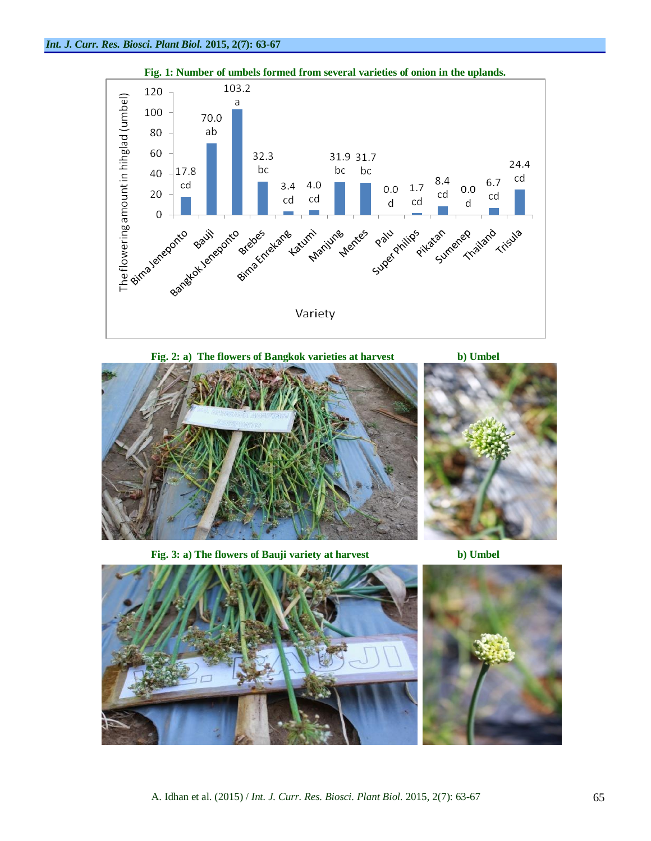

**Fig. 2: a) The flowers of Bangkok varieties at harvest b) Umbel**



**Fig. 3: a) The flowers of Bauji variety at harvest b) Umbel**



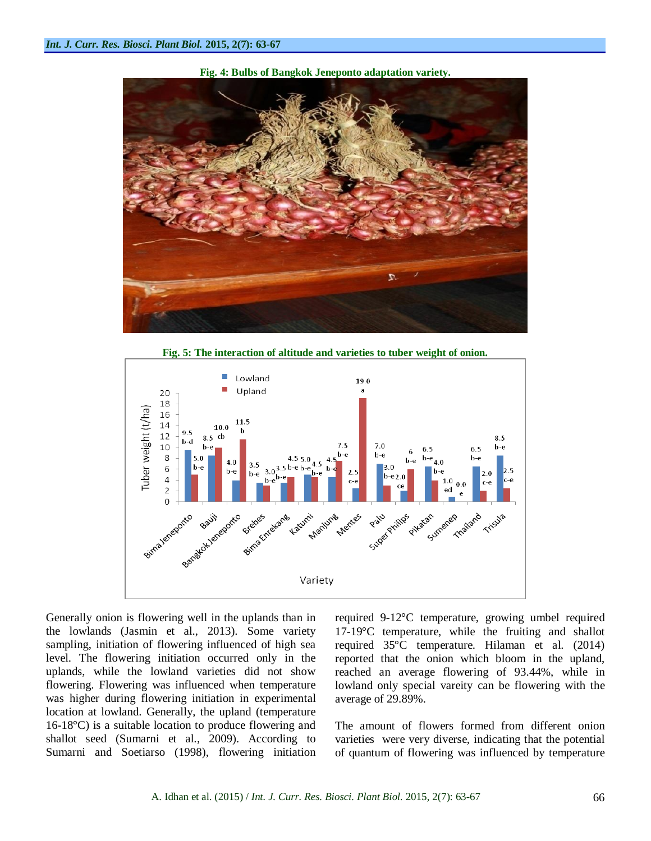

**Fig. 4: Bulbs of Bangkok Jeneponto adaptation variety.**

**Fig. 5: The interaction of altitude and varieties to tuber weight of onion.**



Generally onion is flowering well in the uplands than in the lowlands (Jasmin et al., 2013). Some variety sampling, initiation of flowering influenced of high sea level. The flowering initiation occurred only in the uplands, while the lowland varieties did not show flowering. Flowering was influenced when temperature was higher during flowering initiation in experimental location at lowland. Generally, the upland (temperature 16-18°C) is a suitable location to produce flowering and shallot seed (Sumarni et al., 2009). According to Sumarni and Soetiarso (1998), flowering initiation required 9-12°C temperature, growing umbel required 17-19°C temperature, while the fruiting and shallot required 35°C temperature. Hilaman et al. (2014) reported that the onion which bloom in the upland, reached an average flowering of 93.44%, while in lowland only special vareity can be flowering with the average of 29.89%.

The amount of flowers formed from different onion varieties were very diverse, indicating that the potential of quantum of flowering was influenced by temperature